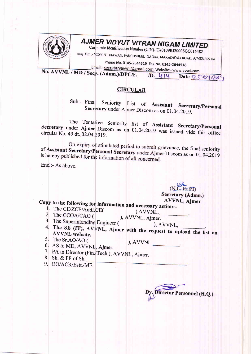

## **AJMER VIDYUT VITRAN NIGAM LIMITED**

Corporate Identification Number (CIN)- U40109RJ2000SGC016482

Resg. Off. :- VIDYUT BHAWAN, PANCHSHEEL NAGAR, MAKADWALI ROAD, AJMER-305004

Phone No. 0145-2644519 Fax No. 0145-2644518 Email:- secretaryavvnl@gmail.com, Website:- www.avvnl.com

No. AVVNL / MD / Secy. (Admn.)/DPC/F. 1D. 414 Date 25.04.2019

## **CIRCULAR**

 $Sub:$  Final Seniority List of Assistant Secretary/Personal Secretary under Ajmer Discom as on 01.04.2019.

The Tentative Seniority list of Assistant Secretary/Personal Secretary under Ajmer Discom as on 01.04.2019 was issued vide this office circular No. 49 dt. 02.04.2019.

On expiry of stipulated period to submit grievance, the final seniority of Assistant Secretary/Personal Secretary under Ajmer Discom as on 01.04.2019 is hereby published for the information of all concerned.

Encl:- As above.

(N.L. Rathi) Secretary (Admn.) **AVVNL, Ajmer** 

Copy to the following for information and necessary action:-

- 1. The CE/ZCE/Addl.CE(
- 2. The CCOA/CAO (

), AVVNL, ), AVVNL, Ajmer.

- 3. The Superintending Engineer (
- ), AVVNL, 4. The SE (IT), AVVNL, Ajmer with the request to upload the list on **AVVNL** website.

5. The Sr.AO/AO (

 $), AVVNL,$ 

- 6. AS to MD, AVVNL, Ajmer.
- 7. PA to Director (Fin./Tech.), AVVNL, Ajmer.
- 8. Sh. & PF of Sh.

9. OO/ACR/Estt./MF.

y. Director Personnel (H.Q.)